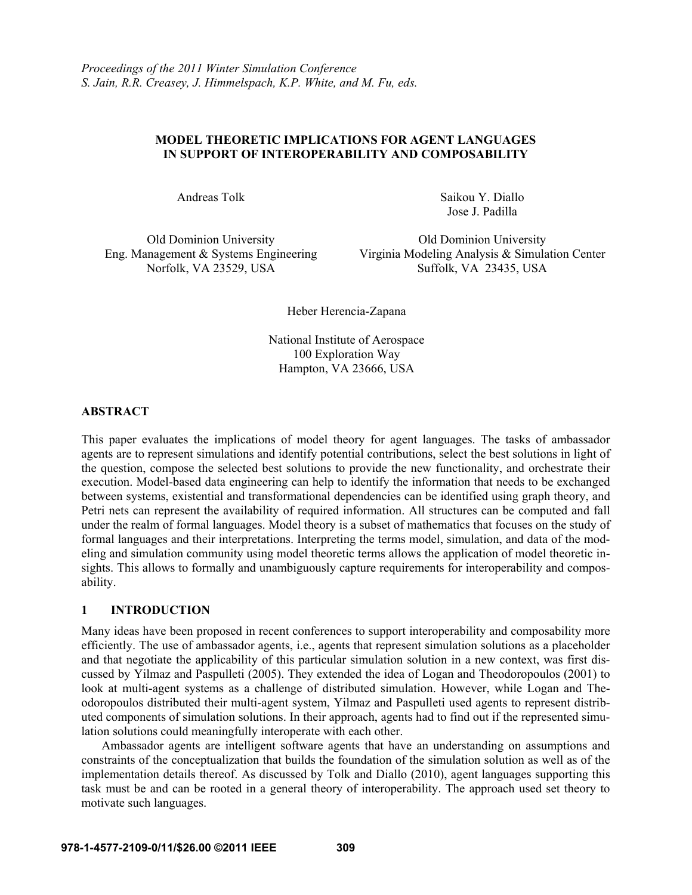# **MODEL THEORETIC IMPLICATIONS FOR AGENT LANGUAGES IN SUPPORT OF INTEROPERABILITY AND COMPOSABILITY**

Andreas Tolk Saikou Y. Diallo Jose J. Padilla

Old Dominion University Old Dominion University Eng. Management & Systems Engineering Virginia Modeling Analysis & Simulation Center Norfolk, VA 23529, USA Suffolk, VA 23435, USA

Heber Herencia-Zapana

National Institute of Aerospace 100 Exploration Way Hampton, VA 23666, USA

## **ABSTRACT**

This paper evaluates the implications of model theory for agent languages. The tasks of ambassador agents are to represent simulations and identify potential contributions, select the best solutions in light of the question, compose the selected best solutions to provide the new functionality, and orchestrate their execution. Model-based data engineering can help to identify the information that needs to be exchanged between systems, existential and transformational dependencies can be identified using graph theory, and Petri nets can represent the availability of required information. All structures can be computed and fall under the realm of formal languages. Model theory is a subset of mathematics that focuses on the study of formal languages and their interpretations. Interpreting the terms model, simulation, and data of the modeling and simulation community using model theoretic terms allows the application of model theoretic insights. This allows to formally and unambiguously capture requirements for interoperability and composability.

### **1 INTRODUCTION**

Many ideas have been proposed in recent conferences to support interoperability and composability more efficiently. The use of ambassador agents, i.e., agents that represent simulation solutions as a placeholder and that negotiate the applicability of this particular simulation solution in a new context, was first discussed by Yilmaz and Paspulleti (2005). They extended the idea of Logan and Theodoropoulos (2001) to look at multi-agent systems as a challenge of distributed simulation. However, while Logan and Theodoropoulos distributed their multi-agent system, Yilmaz and Paspulleti used agents to represent distributed components of simulation solutions. In their approach, agents had to find out if the represented simulation solutions could meaningfully interoperate with each other.

Ambassador agents are intelligent software agents that have an understanding on assumptions and constraints of the conceptualization that builds the foundation of the simulation solution as well as of the implementation details thereof. As discussed by Tolk and Diallo (2010), agent languages supporting this task must be and can be rooted in a general theory of interoperability. The approach used set theory to motivate such languages.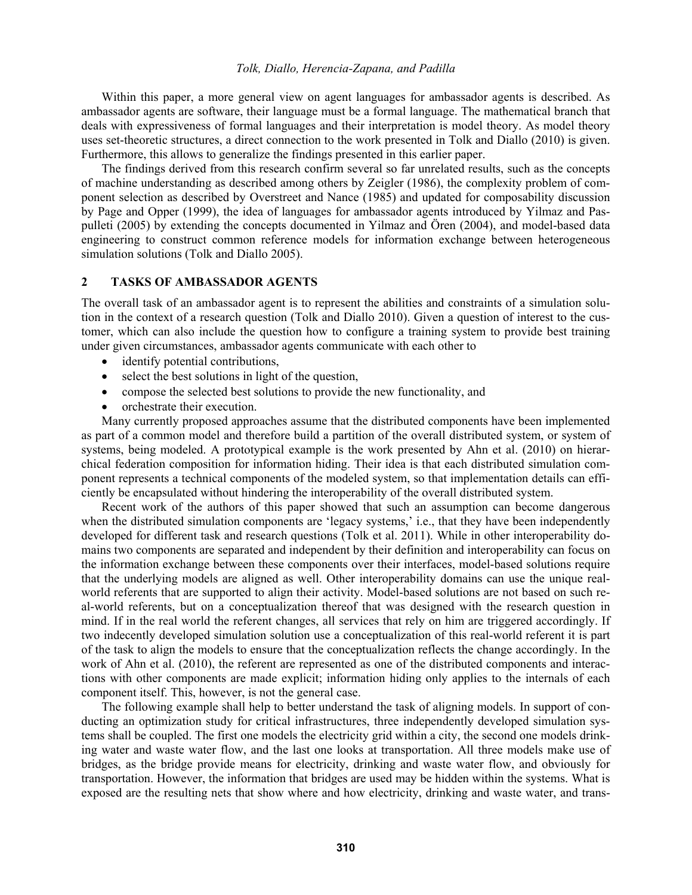Within this paper, a more general view on agent languages for ambassador agents is described. As ambassador agents are software, their language must be a formal language. The mathematical branch that deals with expressiveness of formal languages and their interpretation is model theory. As model theory uses set-theoretic structures, a direct connection to the work presented in Tolk and Diallo (2010) is given. Furthermore, this allows to generalize the findings presented in this earlier paper.

The findings derived from this research confirm several so far unrelated results, such as the concepts of machine understanding as described among others by Zeigler (1986), the complexity problem of component selection as described by Overstreet and Nance (1985) and updated for composability discussion by Page and Opper (1999), the idea of languages for ambassador agents introduced by Yilmaz and Paspulleti (2005) by extending the concepts documented in Yilmaz and Ören (2004), and model-based data engineering to construct common reference models for information exchange between heterogeneous simulation solutions (Tolk and Diallo 2005).

## **2 TASKS OF AMBASSADOR AGENTS**

The overall task of an ambassador agent is to represent the abilities and constraints of a simulation solution in the context of a research question (Tolk and Diallo 2010). Given a question of interest to the customer, which can also include the question how to configure a training system to provide best training under given circumstances, ambassador agents communicate with each other to

- identify potential contributions,
- select the best solutions in light of the question,
- compose the selected best solutions to provide the new functionality, and
- orchestrate their execution.

Many currently proposed approaches assume that the distributed components have been implemented as part of a common model and therefore build a partition of the overall distributed system, or system of systems, being modeled. A prototypical example is the work presented by Ahn et al. (2010) on hierarchical federation composition for information hiding. Their idea is that each distributed simulation component represents a technical components of the modeled system, so that implementation details can efficiently be encapsulated without hindering the interoperability of the overall distributed system.

Recent work of the authors of this paper showed that such an assumption can become dangerous when the distributed simulation components are 'legacy systems,' i.e., that they have been independently developed for different task and research questions (Tolk et al. 2011). While in other interoperability domains two components are separated and independent by their definition and interoperability can focus on the information exchange between these components over their interfaces, model-based solutions require that the underlying models are aligned as well. Other interoperability domains can use the unique realworld referents that are supported to align their activity. Model-based solutions are not based on such real-world referents, but on a conceptualization thereof that was designed with the research question in mind. If in the real world the referent changes, all services that rely on him are triggered accordingly. If two indecently developed simulation solution use a conceptualization of this real-world referent it is part of the task to align the models to ensure that the conceptualization reflects the change accordingly. In the work of Ahn et al. (2010), the referent are represented as one of the distributed components and interactions with other components are made explicit; information hiding only applies to the internals of each component itself. This, however, is not the general case.

The following example shall help to better understand the task of aligning models. In support of conducting an optimization study for critical infrastructures, three independently developed simulation systems shall be coupled. The first one models the electricity grid within a city, the second one models drinking water and waste water flow, and the last one looks at transportation. All three models make use of bridges, as the bridge provide means for electricity, drinking and waste water flow, and obviously for transportation. However, the information that bridges are used may be hidden within the systems. What is exposed are the resulting nets that show where and how electricity, drinking and waste water, and trans-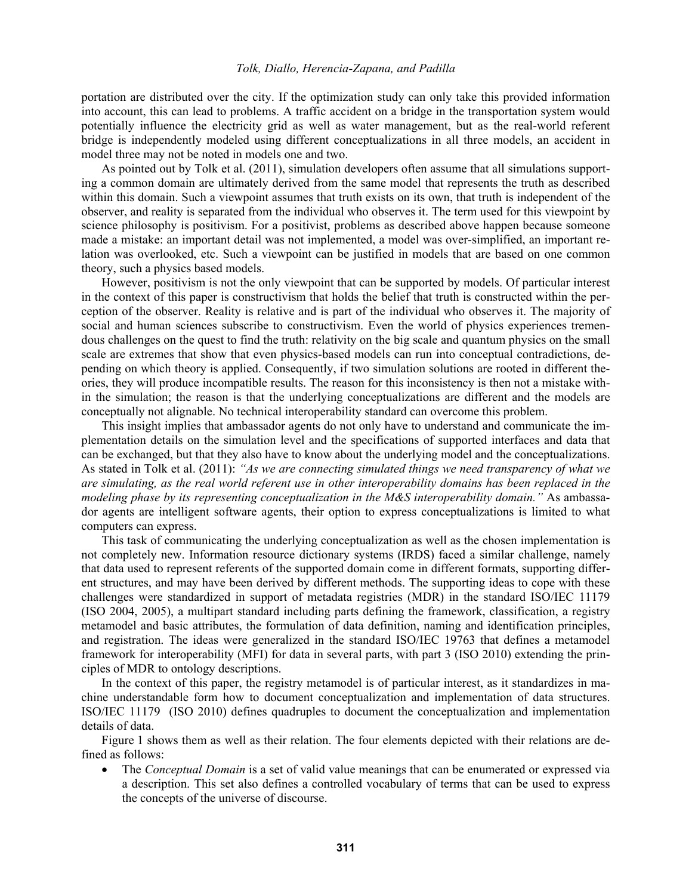portation are distributed over the city. If the optimization study can only take this provided information into account, this can lead to problems. A traffic accident on a bridge in the transportation system would potentially influence the electricity grid as well as water management, but as the real-world referent bridge is independently modeled using different conceptualizations in all three models, an accident in model three may not be noted in models one and two.

As pointed out by Tolk et al. (2011), simulation developers often assume that all simulations supporting a common domain are ultimately derived from the same model that represents the truth as described within this domain. Such a viewpoint assumes that truth exists on its own, that truth is independent of the observer, and reality is separated from the individual who observes it. The term used for this viewpoint by science philosophy is positivism. For a positivist, problems as described above happen because someone made a mistake: an important detail was not implemented, a model was over-simplified, an important relation was overlooked, etc. Such a viewpoint can be justified in models that are based on one common theory, such a physics based models.

However, positivism is not the only viewpoint that can be supported by models. Of particular interest in the context of this paper is constructivism that holds the belief that truth is constructed within the perception of the observer. Reality is relative and is part of the individual who observes it. The majority of social and human sciences subscribe to constructivism. Even the world of physics experiences tremendous challenges on the quest to find the truth: relativity on the big scale and quantum physics on the small scale are extremes that show that even physics-based models can run into conceptual contradictions, depending on which theory is applied. Consequently, if two simulation solutions are rooted in different theories, they will produce incompatible results. The reason for this inconsistency is then not a mistake within the simulation; the reason is that the underlying conceptualizations are different and the models are conceptually not alignable. No technical interoperability standard can overcome this problem.

This insight implies that ambassador agents do not only have to understand and communicate the implementation details on the simulation level and the specifications of supported interfaces and data that can be exchanged, but that they also have to know about the underlying model and the conceptualizations. As stated in Tolk et al. (2011): *"As we are connecting simulated things we need transparency of what we are simulating, as the real world referent use in other interoperability domains has been replaced in the modeling phase by its representing conceptualization in the M&S interoperability domain."* As ambassador agents are intelligent software agents, their option to express conceptualizations is limited to what computers can express.

This task of communicating the underlying conceptualization as well as the chosen implementation is not completely new. Information resource dictionary systems (IRDS) faced a similar challenge, namely that data used to represent referents of the supported domain come in different formats, supporting different structures, and may have been derived by different methods. The supporting ideas to cope with these challenges were standardized in support of metadata registries (MDR) in the standard ISO/IEC 11179 (ISO 2004, 2005), a multipart standard including parts defining the framework, classification, a registry metamodel and basic attributes, the formulation of data definition, naming and identification principles, and registration. The ideas were generalized in the standard ISO/IEC 19763 that defines a metamodel framework for interoperability (MFI) for data in several parts, with part 3 (ISO 2010) extending the principles of MDR to ontology descriptions.

In the context of this paper, the registry metamodel is of particular interest, as it standardizes in machine understandable form how to document conceptualization and implementation of data structures. ISO/IEC 11179 (ISO 2010) defines quadruples to document the conceptualization and implementation details of data.

Figure 1 shows them as well as their relation. The four elements depicted with their relations are defined as follows:

 The *Conceptual Domain* is a set of valid value meanings that can be enumerated or expressed via a description. This set also defines a controlled vocabulary of terms that can be used to express the concepts of the universe of discourse.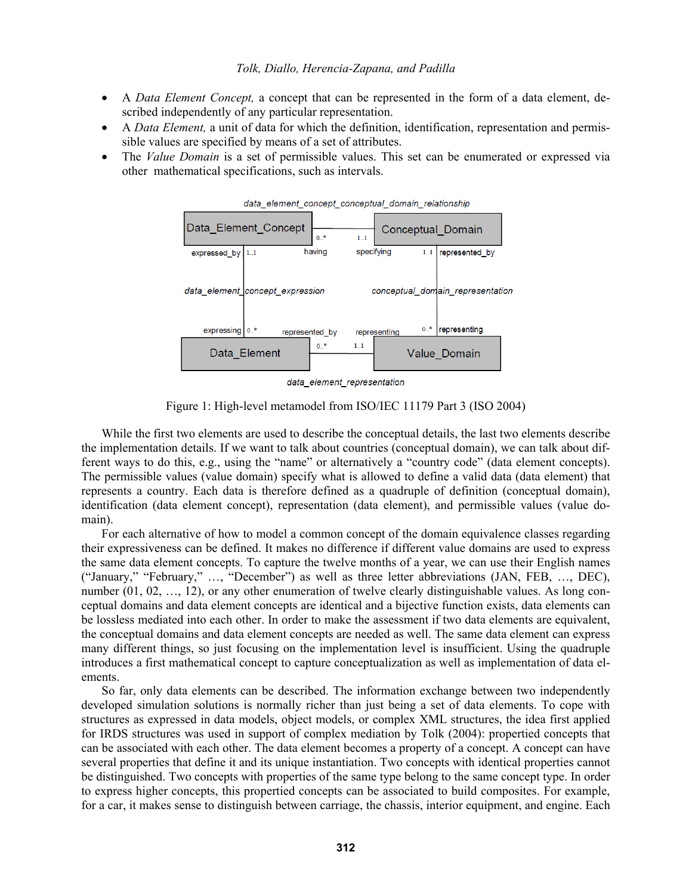- A *Data Element Concept,* a concept that can be represented in the form of a data element, described independently of any particular representation.
- A *Data Element,* a unit of data for which the definition, identification, representation and permissible values are specified by means of a set of attributes.
- The *Value Domain* is a set of permissible values. This set can be enumerated or expressed via other mathematical specifications, such as intervals.



data element concept conceptual domain relationship

data element representation

Figure 1: High-level metamodel from ISO/IEC 11179 Part 3 (ISO 2004)

While the first two elements are used to describe the conceptual details, the last two elements describe the implementation details. If we want to talk about countries (conceptual domain), we can talk about different ways to do this, e.g., using the "name" or alternatively a "country code" (data element concepts). The permissible values (value domain) specify what is allowed to define a valid data (data element) that represents a country. Each data is therefore defined as a quadruple of definition (conceptual domain), identification (data element concept), representation (data element), and permissible values (value domain).

For each alternative of how to model a common concept of the domain equivalence classes regarding their expressiveness can be defined. It makes no difference if different value domains are used to express the same data element concepts. To capture the twelve months of a year, we can use their English names ("January," "February," …, "December") as well as three letter abbreviations (JAN, FEB, …, DEC), number (01, 02, ..., 12), or any other enumeration of twelve clearly distinguishable values. As long conceptual domains and data element concepts are identical and a bijective function exists, data elements can be lossless mediated into each other. In order to make the assessment if two data elements are equivalent, the conceptual domains and data element concepts are needed as well. The same data element can express many different things, so just focusing on the implementation level is insufficient. Using the quadruple introduces a first mathematical concept to capture conceptualization as well as implementation of data elements.

So far, only data elements can be described. The information exchange between two independently developed simulation solutions is normally richer than just being a set of data elements. To cope with structures as expressed in data models, object models, or complex XML structures, the idea first applied for IRDS structures was used in support of complex mediation by Tolk (2004): propertied concepts that can be associated with each other. The data element becomes a property of a concept. A concept can have several properties that define it and its unique instantiation. Two concepts with identical properties cannot be distinguished. Two concepts with properties of the same type belong to the same concept type. In order to express higher concepts, this propertied concepts can be associated to build composites. For example, for a car, it makes sense to distinguish between carriage, the chassis, interior equipment, and engine. Each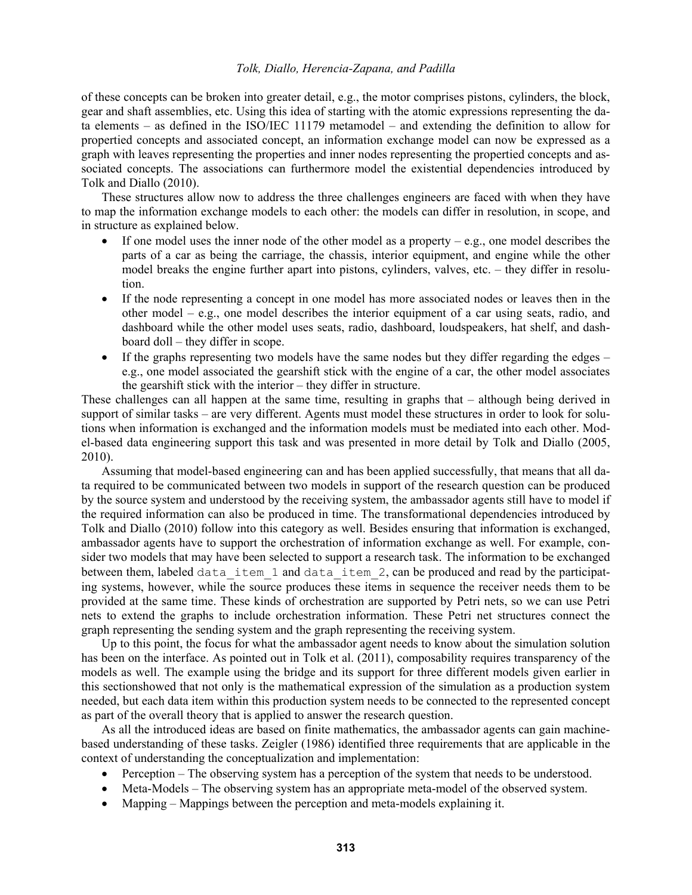of these concepts can be broken into greater detail, e.g., the motor comprises pistons, cylinders, the block, gear and shaft assemblies, etc. Using this idea of starting with the atomic expressions representing the data elements – as defined in the ISO/IEC 11179 metamodel – and extending the definition to allow for propertied concepts and associated concept, an information exchange model can now be expressed as a graph with leaves representing the properties and inner nodes representing the propertied concepts and associated concepts. The associations can furthermore model the existential dependencies introduced by Tolk and Diallo (2010).

These structures allow now to address the three challenges engineers are faced with when they have to map the information exchange models to each other: the models can differ in resolution, in scope, and in structure as explained below.

- If one model uses the inner node of the other model as a property e.g., one model describes the parts of a car as being the carriage, the chassis, interior equipment, and engine while the other model breaks the engine further apart into pistons, cylinders, valves, etc. – they differ in resolution.
- If the node representing a concept in one model has more associated nodes or leaves then in the other model – e.g., one model describes the interior equipment of a car using seats, radio, and dashboard while the other model uses seats, radio, dashboard, loudspeakers, hat shelf, and dashboard doll – they differ in scope.
- If the graphs representing two models have the same nodes but they differ regarding the edges  $$ e.g., one model associated the gearshift stick with the engine of a car, the other model associates the gearshift stick with the interior – they differ in structure.

These challenges can all happen at the same time, resulting in graphs that – although being derived in support of similar tasks – are very different. Agents must model these structures in order to look for solutions when information is exchanged and the information models must be mediated into each other. Model-based data engineering support this task and was presented in more detail by Tolk and Diallo (2005, 2010).

Assuming that model-based engineering can and has been applied successfully, that means that all data required to be communicated between two models in support of the research question can be produced by the source system and understood by the receiving system, the ambassador agents still have to model if the required information can also be produced in time. The transformational dependencies introduced by Tolk and Diallo (2010) follow into this category as well. Besides ensuring that information is exchanged, ambassador agents have to support the orchestration of information exchange as well. For example, consider two models that may have been selected to support a research task. The information to be exchanged between them, labeled data item 1 and data item 2, can be produced and read by the participating systems, however, while the source produces these items in sequence the receiver needs them to be provided at the same time. These kinds of orchestration are supported by Petri nets, so we can use Petri nets to extend the graphs to include orchestration information. These Petri net structures connect the graph representing the sending system and the graph representing the receiving system.

Up to this point, the focus for what the ambassador agent needs to know about the simulation solution has been on the interface. As pointed out in Tolk et al. (2011), composability requires transparency of the models as well. The example using the bridge and its support for three different models given earlier in this sectionshowed that not only is the mathematical expression of the simulation as a production system needed, but each data item within this production system needs to be connected to the represented concept as part of the overall theory that is applied to answer the research question.

As all the introduced ideas are based on finite mathematics, the ambassador agents can gain machinebased understanding of these tasks. Zeigler (1986) identified three requirements that are applicable in the context of understanding the conceptualization and implementation:

- Perception The observing system has a perception of the system that needs to be understood.
- Meta-Models The observing system has an appropriate meta-model of the observed system.
- Mapping Mappings between the perception and meta-models explaining it.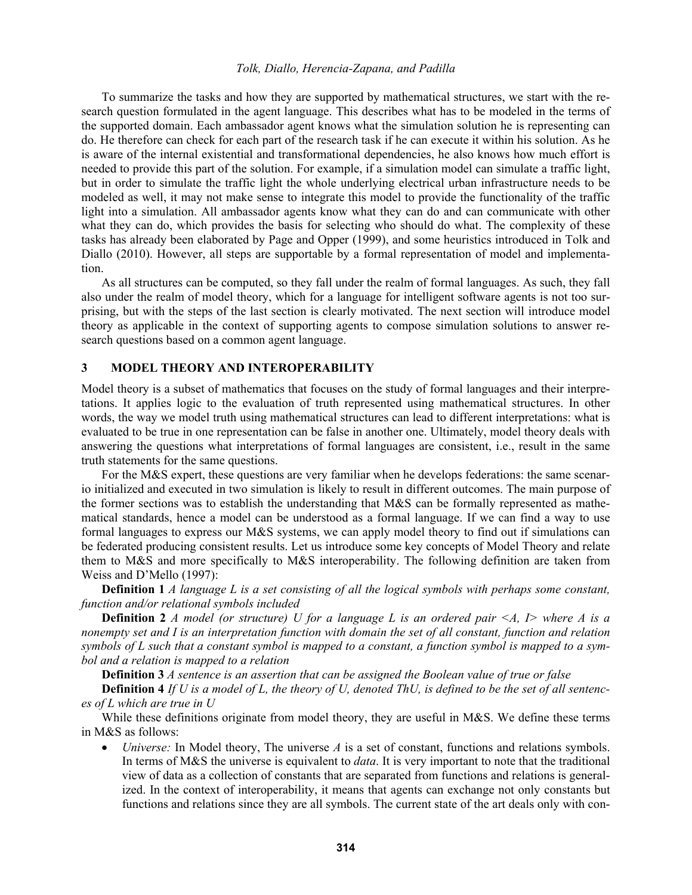To summarize the tasks and how they are supported by mathematical structures, we start with the research question formulated in the agent language. This describes what has to be modeled in the terms of the supported domain. Each ambassador agent knows what the simulation solution he is representing can do. He therefore can check for each part of the research task if he can execute it within his solution. As he is aware of the internal existential and transformational dependencies, he also knows how much effort is needed to provide this part of the solution. For example, if a simulation model can simulate a traffic light, but in order to simulate the traffic light the whole underlying electrical urban infrastructure needs to be modeled as well, it may not make sense to integrate this model to provide the functionality of the traffic light into a simulation. All ambassador agents know what they can do and can communicate with other what they can do, which provides the basis for selecting who should do what. The complexity of these tasks has already been elaborated by Page and Opper (1999), and some heuristics introduced in Tolk and Diallo (2010). However, all steps are supportable by a formal representation of model and implementation.

As all structures can be computed, so they fall under the realm of formal languages. As such, they fall also under the realm of model theory, which for a language for intelligent software agents is not too surprising, but with the steps of the last section is clearly motivated. The next section will introduce model theory as applicable in the context of supporting agents to compose simulation solutions to answer research questions based on a common agent language.

### **3 MODEL THEORY AND INTEROPERABILITY**

Model theory is a subset of mathematics that focuses on the study of formal languages and their interpretations. It applies logic to the evaluation of truth represented using mathematical structures. In other words, the way we model truth using mathematical structures can lead to different interpretations: what is evaluated to be true in one representation can be false in another one. Ultimately, model theory deals with answering the questions what interpretations of formal languages are consistent, i.e., result in the same truth statements for the same questions.

For the M&S expert, these questions are very familiar when he develops federations: the same scenario initialized and executed in two simulation is likely to result in different outcomes. The main purpose of the former sections was to establish the understanding that M&S can be formally represented as mathematical standards, hence a model can be understood as a formal language. If we can find a way to use formal languages to express our M&S systems, we can apply model theory to find out if simulations can be federated producing consistent results. Let us introduce some key concepts of Model Theory and relate them to M&S and more specifically to M&S interoperability. The following definition are taken from Weiss and D'Mello (1997):

**Definition 1** *A language L is a set consisting of all the logical symbols with perhaps some constant, function and/or relational symbols included*

**Definition 2** *A model (or structure) U for a language L is an ordered pair <A, I> where A is a nonempty set and I is an interpretation function with domain the set of all constant, function and relation symbols of L such that a constant symbol is mapped to a constant, a function symbol is mapped to a symbol and a relation is mapped to a relation* 

**Definition 3** *A sentence is an assertion that can be assigned the Boolean value of true or false*

**Definition 4** *If U is a model of L, the theory of U, denoted ThU, is defined to be the set of all sentences of L which are true in U* 

While these definitions originate from model theory, they are useful in M&S. We define these terms in M&S as follows:

 *Universe:* In Model theory, The universe *A* is a set of constant, functions and relations symbols. In terms of M&S the universe is equivalent to *data*. It is very important to note that the traditional view of data as a collection of constants that are separated from functions and relations is generalized. In the context of interoperability, it means that agents can exchange not only constants but functions and relations since they are all symbols. The current state of the art deals only with con-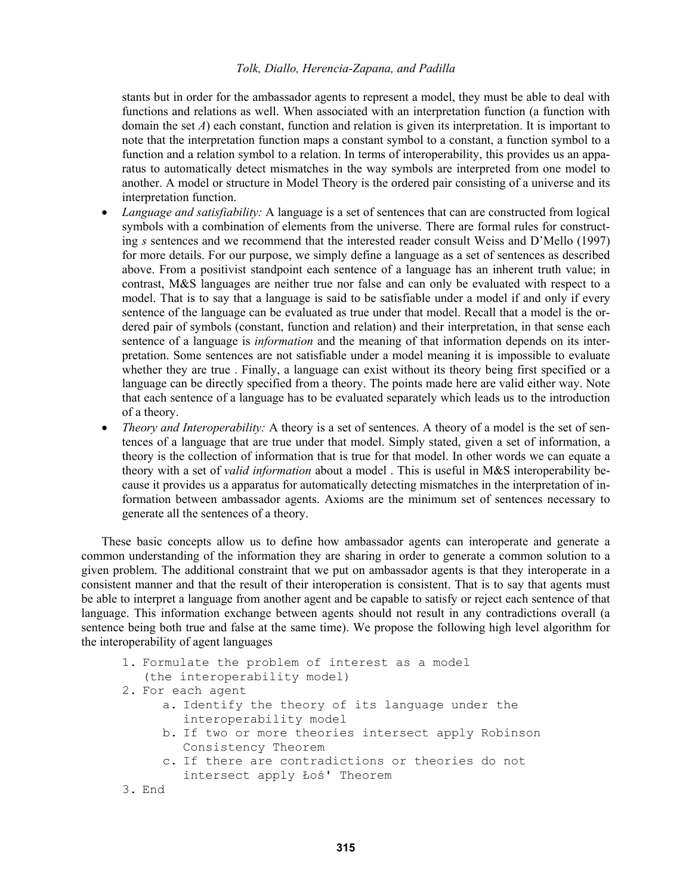stants but in order for the ambassador agents to represent a model, they must be able to deal with functions and relations as well. When associated with an interpretation function (a function with domain the set *A*) each constant, function and relation is given its interpretation. It is important to note that the interpretation function maps a constant symbol to a constant, a function symbol to a function and a relation symbol to a relation. In terms of interoperability, this provides us an apparatus to automatically detect mismatches in the way symbols are interpreted from one model to another. A model or structure in Model Theory is the ordered pair consisting of a universe and its interpretation function.

- *Language and satisfiability:* A language is a set of sentences that can are constructed from logical symbols with a combination of elements from the universe. There are formal rules for constructing *s* sentences and we recommend that the interested reader consult Weiss and D'Mello (1997) for more details. For our purpose, we simply define a language as a set of sentences as described above. From a positivist standpoint each sentence of a language has an inherent truth value; in contrast, M&S languages are neither true nor false and can only be evaluated with respect to a model. That is to say that a language is said to be satisfiable under a model if and only if every sentence of the language can be evaluated as true under that model. Recall that a model is the ordered pair of symbols (constant, function and relation) and their interpretation, in that sense each sentence of a language is *information* and the meaning of that information depends on its interpretation. Some sentences are not satisfiable under a model meaning it is impossible to evaluate whether they are true . Finally, a language can exist without its theory being first specified or a language can be directly specified from a theory. The points made here are valid either way. Note that each sentence of a language has to be evaluated separately which leads us to the introduction of a theory.
- *Theory and Interoperability:* A theory is a set of sentences. A theory of a model is the set of sentences of a language that are true under that model. Simply stated, given a set of information, a theory is the collection of information that is true for that model. In other words we can equate a theory with a set of *valid information* about a model . This is useful in M&S interoperability because it provides us a apparatus for automatically detecting mismatches in the interpretation of information between ambassador agents. Axioms are the minimum set of sentences necessary to generate all the sentences of a theory.

These basic concepts allow us to define how ambassador agents can interoperate and generate a common understanding of the information they are sharing in order to generate a common solution to a given problem. The additional constraint that we put on ambassador agents is that they interoperate in a consistent manner and that the result of their interoperation is consistent. That is to say that agents must be able to interpret a language from another agent and be capable to satisfy or reject each sentence of that language. This information exchange between agents should not result in any contradictions overall (a sentence being both true and false at the same time). We propose the following high level algorithm for the interoperability of agent languages

- 1. Formulate the problem of interest as a model
- (the interoperability model)
- 2. For each agent
	- a. Identify the theory of its language under the interoperability model
	- b. If two or more theories intersect apply Robinson Consistency Theorem
	- c. If there are contradictions or theories do not intersect apply Łoś' Theorem
- 3. End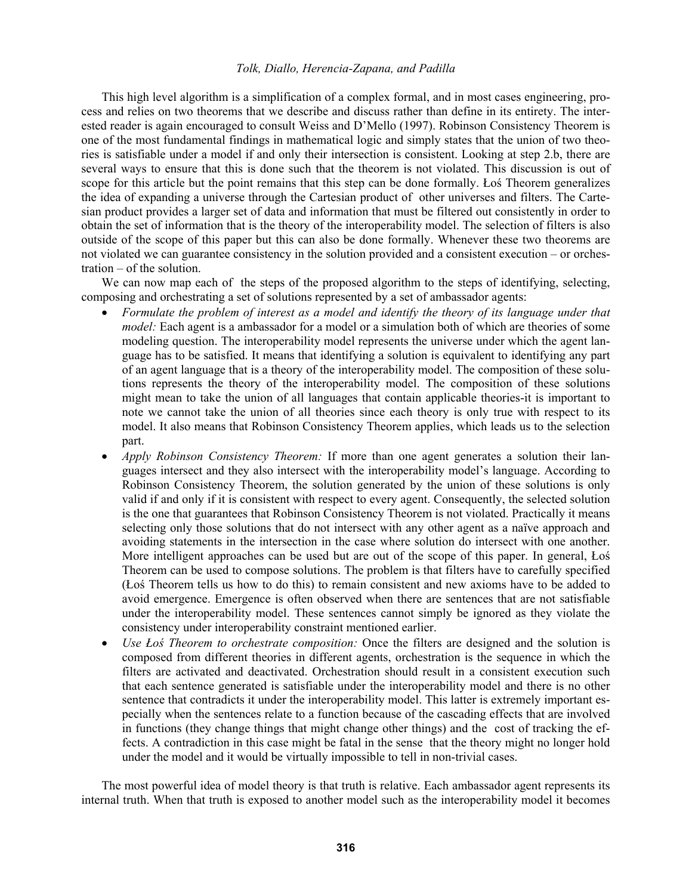This high level algorithm is a simplification of a complex formal, and in most cases engineering, process and relies on two theorems that we describe and discuss rather than define in its entirety. The interested reader is again encouraged to consult Weiss and D'Mello (1997). Robinson Consistency Theorem is one of the most fundamental findings in mathematical logic and simply states that the union of two theories is satisfiable under a model if and only their intersection is consistent. Looking at step 2.b, there are several ways to ensure that this is done such that the theorem is not violated. This discussion is out of scope for this article but the point remains that this step can be done formally. Łoś Theorem generalizes the idea of expanding a universe through the Cartesian product of other universes and filters. The Cartesian product provides a larger set of data and information that must be filtered out consistently in order to obtain the set of information that is the theory of the interoperability model. The selection of filters is also outside of the scope of this paper but this can also be done formally. Whenever these two theorems are not violated we can guarantee consistency in the solution provided and a consistent execution – or orchestration – of the solution.

We can now map each of the steps of the proposed algorithm to the steps of identifying, selecting, composing and orchestrating a set of solutions represented by a set of ambassador agents:

- *Formulate the problem of interest as a model and identify the theory of its language under that model:* Each agent is a ambassador for a model or a simulation both of which are theories of some modeling question. The interoperability model represents the universe under which the agent language has to be satisfied. It means that identifying a solution is equivalent to identifying any part of an agent language that is a theory of the interoperability model. The composition of these solutions represents the theory of the interoperability model. The composition of these solutions might mean to take the union of all languages that contain applicable theories-it is important to note we cannot take the union of all theories since each theory is only true with respect to its model. It also means that Robinson Consistency Theorem applies, which leads us to the selection part.
- *Apply Robinson Consistency Theorem:* If more than one agent generates a solution their languages intersect and they also intersect with the interoperability model's language. According to Robinson Consistency Theorem, the solution generated by the union of these solutions is only valid if and only if it is consistent with respect to every agent. Consequently, the selected solution is the one that guarantees that Robinson Consistency Theorem is not violated. Practically it means selecting only those solutions that do not intersect with any other agent as a naïve approach and avoiding statements in the intersection in the case where solution do intersect with one another. More intelligent approaches can be used but are out of the scope of this paper. In general, Łoś Theorem can be used to compose solutions. The problem is that filters have to carefully specified (Łoś Theorem tells us how to do this) to remain consistent and new axioms have to be added to avoid emergence. Emergence is often observed when there are sentences that are not satisfiable under the interoperability model. These sentences cannot simply be ignored as they violate the consistency under interoperability constraint mentioned earlier.
- *Use Łoś Theorem to orchestrate composition:* Once the filters are designed and the solution is composed from different theories in different agents, orchestration is the sequence in which the filters are activated and deactivated. Orchestration should result in a consistent execution such that each sentence generated is satisfiable under the interoperability model and there is no other sentence that contradicts it under the interoperability model. This latter is extremely important especially when the sentences relate to a function because of the cascading effects that are involved in functions (they change things that might change other things) and the cost of tracking the effects. A contradiction in this case might be fatal in the sense that the theory might no longer hold under the model and it would be virtually impossible to tell in non-trivial cases.

The most powerful idea of model theory is that truth is relative. Each ambassador agent represents its internal truth. When that truth is exposed to another model such as the interoperability model it becomes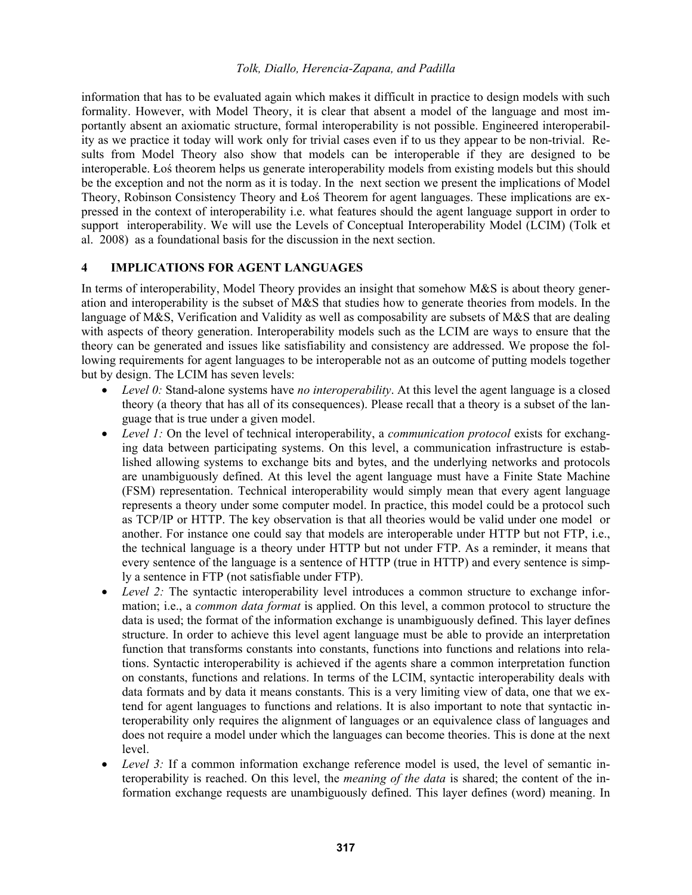information that has to be evaluated again which makes it difficult in practice to design models with such formality. However, with Model Theory, it is clear that absent a model of the language and most importantly absent an axiomatic structure, formal interoperability is not possible. Engineered interoperability as we practice it today will work only for trivial cases even if to us they appear to be non-trivial. Results from Model Theory also show that models can be interoperable if they are designed to be interoperable. Łoś theorem helps us generate interoperability models from existing models but this should be the exception and not the norm as it is today. In the next section we present the implications of Model Theory, Robinson Consistency Theory and Łoś Theorem for agent languages. These implications are expressed in the context of interoperability i.e. what features should the agent language support in order to support interoperability. We will use the Levels of Conceptual Interoperability Model (LCIM) (Tolk et al. 2008) as a foundational basis for the discussion in the next section.

# **4 IMPLICATIONS FOR AGENT LANGUAGES**

In terms of interoperability, Model Theory provides an insight that somehow M&S is about theory generation and interoperability is the subset of M&S that studies how to generate theories from models. In the language of M&S, Verification and Validity as well as composability are subsets of M&S that are dealing with aspects of theory generation. Interoperability models such as the LCIM are ways to ensure that the theory can be generated and issues like satisfiability and consistency are addressed. We propose the following requirements for agent languages to be interoperable not as an outcome of putting models together but by design. The LCIM has seven levels:

- *Level 0:* Stand-alone systems have *no interoperability*. At this level the agent language is a closed theory (a theory that has all of its consequences). Please recall that a theory is a subset of the language that is true under a given model.
- *Level 1:* On the level of technical interoperability, a *communication protocol* exists for exchanging data between participating systems. On this level, a communication infrastructure is established allowing systems to exchange bits and bytes, and the underlying networks and protocols are unambiguously defined. At this level the agent language must have a Finite State Machine (FSM) representation. Technical interoperability would simply mean that every agent language represents a theory under some computer model. In practice, this model could be a protocol such as TCP/IP or HTTP. The key observation is that all theories would be valid under one model or another. For instance one could say that models are interoperable under HTTP but not FTP, i.e., the technical language is a theory under HTTP but not under FTP. As a reminder, it means that every sentence of the language is a sentence of HTTP (true in HTTP) and every sentence is simply a sentence in FTP (not satisfiable under FTP).
- *Level 2:* The syntactic interoperability level introduces a common structure to exchange information; i.e., a *common data format* is applied. On this level, a common protocol to structure the data is used; the format of the information exchange is unambiguously defined. This layer defines structure. In order to achieve this level agent language must be able to provide an interpretation function that transforms constants into constants, functions into functions and relations into relations. Syntactic interoperability is achieved if the agents share a common interpretation function on constants, functions and relations. In terms of the LCIM, syntactic interoperability deals with data formats and by data it means constants. This is a very limiting view of data, one that we extend for agent languages to functions and relations. It is also important to note that syntactic interoperability only requires the alignment of languages or an equivalence class of languages and does not require a model under which the languages can become theories. This is done at the next level.
- *Level 3:* If a common information exchange reference model is used, the level of semantic interoperability is reached. On this level, the *meaning of the data* is shared; the content of the information exchange requests are unambiguously defined. This layer defines (word) meaning. In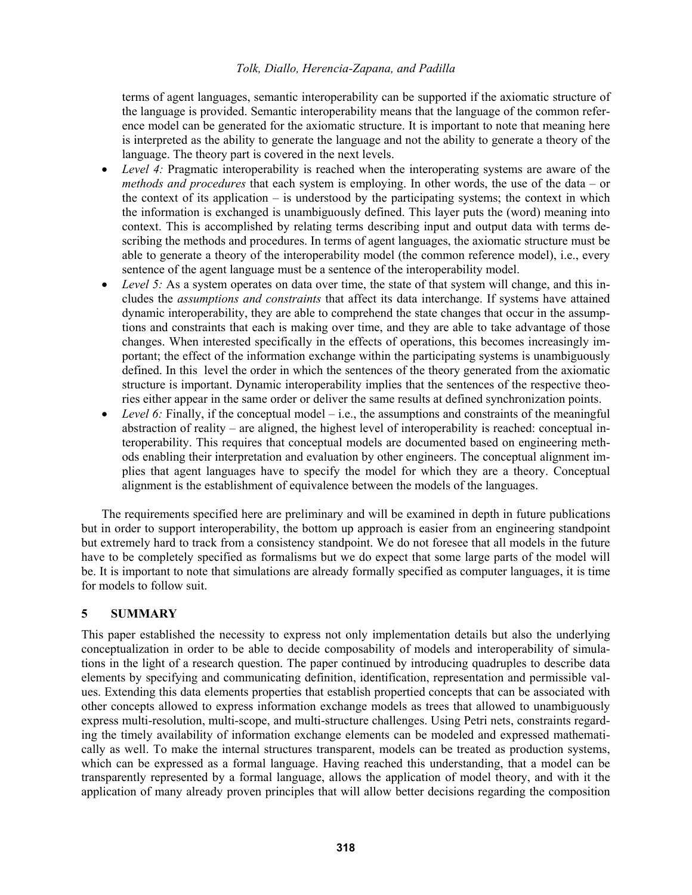terms of agent languages, semantic interoperability can be supported if the axiomatic structure of the language is provided. Semantic interoperability means that the language of the common reference model can be generated for the axiomatic structure. It is important to note that meaning here is interpreted as the ability to generate the language and not the ability to generate a theory of the language. The theory part is covered in the next levels.

- *Level 4:* Pragmatic interoperability is reached when the interoperating systems are aware of the *methods and procedures* that each system is employing. In other words, the use of the data – or the context of its application  $-$  is understood by the participating systems; the context in which the information is exchanged is unambiguously defined. This layer puts the (word) meaning into context. This is accomplished by relating terms describing input and output data with terms describing the methods and procedures. In terms of agent languages, the axiomatic structure must be able to generate a theory of the interoperability model (the common reference model), i.e., every sentence of the agent language must be a sentence of the interoperability model.
- Level 5: As a system operates on data over time, the state of that system will change, and this includes the *assumptions and constraints* that affect its data interchange. If systems have attained dynamic interoperability, they are able to comprehend the state changes that occur in the assumptions and constraints that each is making over time, and they are able to take advantage of those changes. When interested specifically in the effects of operations, this becomes increasingly important; the effect of the information exchange within the participating systems is unambiguously defined. In this level the order in which the sentences of the theory generated from the axiomatic structure is important. Dynamic interoperability implies that the sentences of the respective theories either appear in the same order or deliver the same results at defined synchronization points.
- *Level 6:* Finally, if the conceptual model i.e., the assumptions and constraints of the meaningful abstraction of reality – are aligned, the highest level of interoperability is reached: conceptual interoperability. This requires that conceptual models are documented based on engineering methods enabling their interpretation and evaluation by other engineers. The conceptual alignment implies that agent languages have to specify the model for which they are a theory. Conceptual alignment is the establishment of equivalence between the models of the languages.

The requirements specified here are preliminary and will be examined in depth in future publications but in order to support interoperability, the bottom up approach is easier from an engineering standpoint but extremely hard to track from a consistency standpoint. We do not foresee that all models in the future have to be completely specified as formalisms but we do expect that some large parts of the model will be. It is important to note that simulations are already formally specified as computer languages, it is time for models to follow suit.

# **5 SUMMARY**

This paper established the necessity to express not only implementation details but also the underlying conceptualization in order to be able to decide composability of models and interoperability of simulations in the light of a research question. The paper continued by introducing quadruples to describe data elements by specifying and communicating definition, identification, representation and permissible values. Extending this data elements properties that establish propertied concepts that can be associated with other concepts allowed to express information exchange models as trees that allowed to unambiguously express multi-resolution, multi-scope, and multi-structure challenges. Using Petri nets, constraints regarding the timely availability of information exchange elements can be modeled and expressed mathematically as well. To make the internal structures transparent, models can be treated as production systems, which can be expressed as a formal language. Having reached this understanding, that a model can be transparently represented by a formal language, allows the application of model theory, and with it the application of many already proven principles that will allow better decisions regarding the composition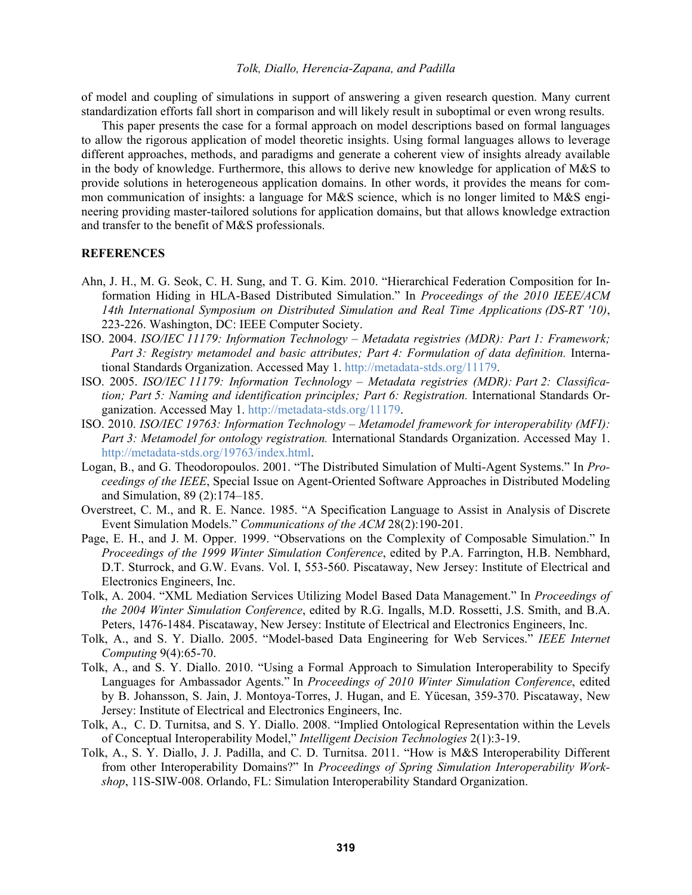of model and coupling of simulations in support of answering a given research question. Many current standardization efforts fall short in comparison and will likely result in suboptimal or even wrong results.

 This paper presents the case for a formal approach on model descriptions based on formal languages to allow the rigorous application of model theoretic insights. Using formal languages allows to leverage different approaches, methods, and paradigms and generate a coherent view of insights already available in the body of knowledge. Furthermore, this allows to derive new knowledge for application of M&S to provide solutions in heterogeneous application domains. In other words, it provides the means for common communication of insights: a language for M&S science, which is no longer limited to M&S engineering providing master-tailored solutions for application domains, but that allows knowledge extraction and transfer to the benefit of M&S professionals.

#### **REFERENCES**

- Ahn, J. H., M. G. Seok, C. H. Sung, and T. G. Kim. 2010. "Hierarchical Federation Composition for Information Hiding in HLA-Based Distributed Simulation." In *Proceedings of the 2010 IEEE/ACM 14th International Symposium on Distributed Simulation and Real Time Applications (DS-RT '10)*, 223-226. Washington, DC: IEEE Computer Society.
- ISO. 2004. *ISO/IEC 11179: Information Technology Metadata registries (MDR): Part 1: Framework; Part 3: Registry metamodel and basic attributes; Part 4: Formulation of data definition.* International Standards Organization. Accessed May 1. http://metadata-stds.org/11179.
- ISO. 2005. *ISO/IEC 11179: Information Technology Metadata registries (MDR): Part 2: Classification; Part 5: Naming and identification principles; Part 6: Registration.* International Standards Organization. Accessed May 1. http://metadata-stds.org/11179.
- ISO. 2010. *ISO/IEC 19763: Information Technology Metamodel framework for interoperability (MFI): Part 3: Metamodel for ontology registration.* International Standards Organization. Accessed May 1. http://metadata-stds.org/19763/index.html.
- Logan, B., and G. Theodoropoulos. 2001. "The Distributed Simulation of Multi-Agent Systems." In *Proceedings of the IEEE*, Special Issue on Agent-Oriented Software Approaches in Distributed Modeling and Simulation, 89 (2):174–185.
- Overstreet, C. M., and R. E. Nance. 1985. "A Specification Language to Assist in Analysis of Discrete Event Simulation Models." *Communications of the ACM* 28(2):190-201.
- Page, E. H., and J. M. Opper. 1999. "Observations on the Complexity of Composable Simulation." In *Proceedings of the 1999 Winter Simulation Conference*, edited by P.A. Farrington, H.B. Nembhard, D.T. Sturrock, and G.W. Evans. Vol. I, 553-560. Piscataway, New Jersey: Institute of Electrical and Electronics Engineers, Inc.
- Tolk, A. 2004. "XML Mediation Services Utilizing Model Based Data Management." In *Proceedings of the 2004 Winter Simulation Conference*, edited by R.G. Ingalls, M.D. Rossetti, J.S. Smith, and B.A. Peters, 1476-1484. Piscataway, New Jersey: Institute of Electrical and Electronics Engineers, Inc.
- Tolk, A., and S. Y. Diallo. 2005. "Model-based Data Engineering for Web Services." *IEEE Internet Computing* 9(4):65-70.
- Tolk, A., and S. Y. Diallo. 2010. "Using a Formal Approach to Simulation Interoperability to Specify Languages for Ambassador Agents." In *Proceedings of 2010 Winter Simulation Conference*, edited by B. Johansson, S. Jain, J. Montoya-Torres, J. Hugan, and E. Yücesan, 359-370. Piscataway, New Jersey: Institute of Electrical and Electronics Engineers, Inc.
- Tolk, A., C. D. Turnitsa, and S. Y. Diallo. 2008. "Implied Ontological Representation within the Levels of Conceptual Interoperability Model," *Intelligent Decision Technologies* 2(1):3-19.
- Tolk, A., S. Y. Diallo, J. J. Padilla, and C. D. Turnitsa. 2011. "How is M&S Interoperability Different from other Interoperability Domains?" In *Proceedings of Spring Simulation Interoperability Workshop*, 11S-SIW-008. Orlando, FL: Simulation Interoperability Standard Organization.